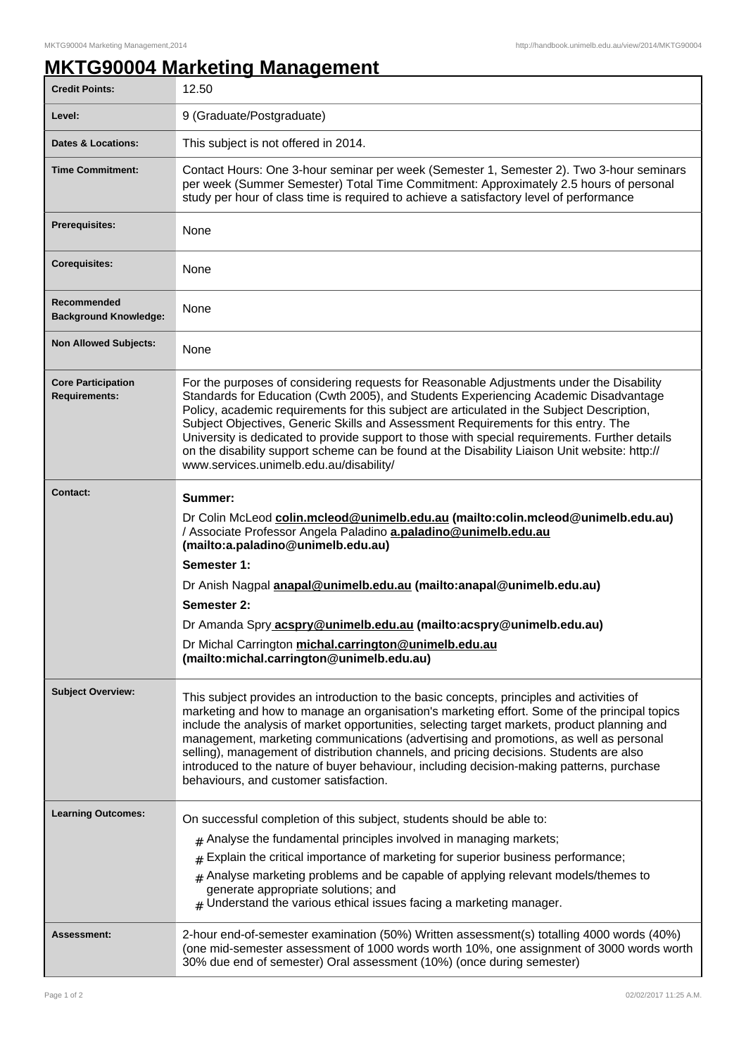## **MKTG90004 Marketing Management**

| <b>Credit Points:</b>                             | 12.50                                                                                                                                                                                                                                                                                                                                                                                                                                                                                                                                                                                                                |
|---------------------------------------------------|----------------------------------------------------------------------------------------------------------------------------------------------------------------------------------------------------------------------------------------------------------------------------------------------------------------------------------------------------------------------------------------------------------------------------------------------------------------------------------------------------------------------------------------------------------------------------------------------------------------------|
| Level:                                            | 9 (Graduate/Postgraduate)                                                                                                                                                                                                                                                                                                                                                                                                                                                                                                                                                                                            |
| <b>Dates &amp; Locations:</b>                     | This subject is not offered in 2014.                                                                                                                                                                                                                                                                                                                                                                                                                                                                                                                                                                                 |
| <b>Time Commitment:</b>                           | Contact Hours: One 3-hour seminar per week (Semester 1, Semester 2). Two 3-hour seminars<br>per week (Summer Semester) Total Time Commitment: Approximately 2.5 hours of personal<br>study per hour of class time is required to achieve a satisfactory level of performance                                                                                                                                                                                                                                                                                                                                         |
| <b>Prerequisites:</b>                             | None                                                                                                                                                                                                                                                                                                                                                                                                                                                                                                                                                                                                                 |
| <b>Corequisites:</b>                              | None                                                                                                                                                                                                                                                                                                                                                                                                                                                                                                                                                                                                                 |
| Recommended<br><b>Background Knowledge:</b>       | None                                                                                                                                                                                                                                                                                                                                                                                                                                                                                                                                                                                                                 |
| <b>Non Allowed Subjects:</b>                      | None                                                                                                                                                                                                                                                                                                                                                                                                                                                                                                                                                                                                                 |
| <b>Core Participation</b><br><b>Requirements:</b> | For the purposes of considering requests for Reasonable Adjustments under the Disability<br>Standards for Education (Cwth 2005), and Students Experiencing Academic Disadvantage<br>Policy, academic requirements for this subject are articulated in the Subject Description,<br>Subject Objectives, Generic Skills and Assessment Requirements for this entry. The<br>University is dedicated to provide support to those with special requirements. Further details<br>on the disability support scheme can be found at the Disability Liaison Unit website: http://<br>www.services.unimelb.edu.au/disability/   |
| <b>Contact:</b>                                   | Summer:<br>Dr Colin McLeod colin.mcleod@unimelb.edu.au (mailto:colin.mcleod@unimelb.edu.au)<br>/ Associate Professor Angela Paladino a.paladino@unimelb.edu.au<br>(mailto:a.paladino@unimelb.edu.au)<br>Semester 1:<br>Dr Anish Nagpal anapal@unimelb.edu.au (mailto:anapal@unimelb.edu.au)<br>Semester 2:<br>Dr Amanda Spry acspry@unimelb.edu.au (mailto:acspry@unimelb.edu.au)<br>Dr Michal Carrington michal.carrington@unimelb.edu.au<br>(mailto:michal.carrington@unimelb.edu.au)                                                                                                                              |
| <b>Subject Overview:</b>                          | This subject provides an introduction to the basic concepts, principles and activities of<br>marketing and how to manage an organisation's marketing effort. Some of the principal topics<br>include the analysis of market opportunities, selecting target markets, product planning and<br>management, marketing communications (advertising and promotions, as well as personal<br>selling), management of distribution channels, and pricing decisions. Students are also<br>introduced to the nature of buyer behaviour, including decision-making patterns, purchase<br>behaviours, and customer satisfaction. |
| <b>Learning Outcomes:</b>                         | On successful completion of this subject, students should be able to:<br>$_{\text{\#}}$ Analyse the fundamental principles involved in managing markets;<br>$*$ Explain the critical importance of marketing for superior business performance;<br>$#$ Analyse marketing problems and be capable of applying relevant models/themes to<br>generate appropriate solutions; and<br>$#$ Understand the various ethical issues facing a marketing manager.                                                                                                                                                               |
| Assessment:                                       | 2-hour end-of-semester examination (50%) Written assessment(s) totalling 4000 words (40%)<br>(one mid-semester assessment of 1000 words worth 10%, one assignment of 3000 words worth<br>30% due end of semester) Oral assessment (10%) (once during semester)                                                                                                                                                                                                                                                                                                                                                       |